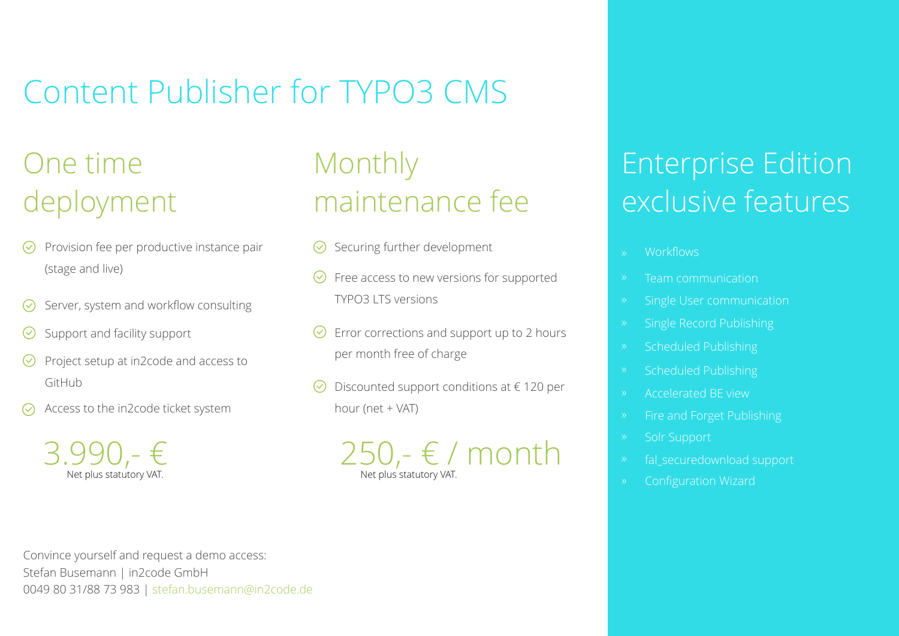# Content Publisher for TYPO3 CMS

## One time deployment

- $\heartsuit$  Provision fee per productive instance pair (stage and live)
- Server, system and workflow consulting
- Support and facility support
- Project setup at in2code and access to GitHub
- Access to the in2code ticket system



## Monthly maintenance fee

- $\bigotimes$  Securing further development  $\bigotimes$  workflows
- Free access to new versions for supported TYPO3 LTS versions
- $\heartsuit$  Error corrections and support up to 2 hours per month free of charge
- Discounted support conditions at € 120 per hour (net + VAT)



## Enterprise Edition exclusive features

- 
- Team communication
- 
- Single Record Publishing
- 
- Scheduled Publishing
- Accelerated BE view
- 
- Solr Support
- fal\_securedownload support
- 

Convince yourself and request a demo access: Stefan Busemann | in2code GmbH 0049 80 31/88 73 983 | stefan.busemann@in2code.de